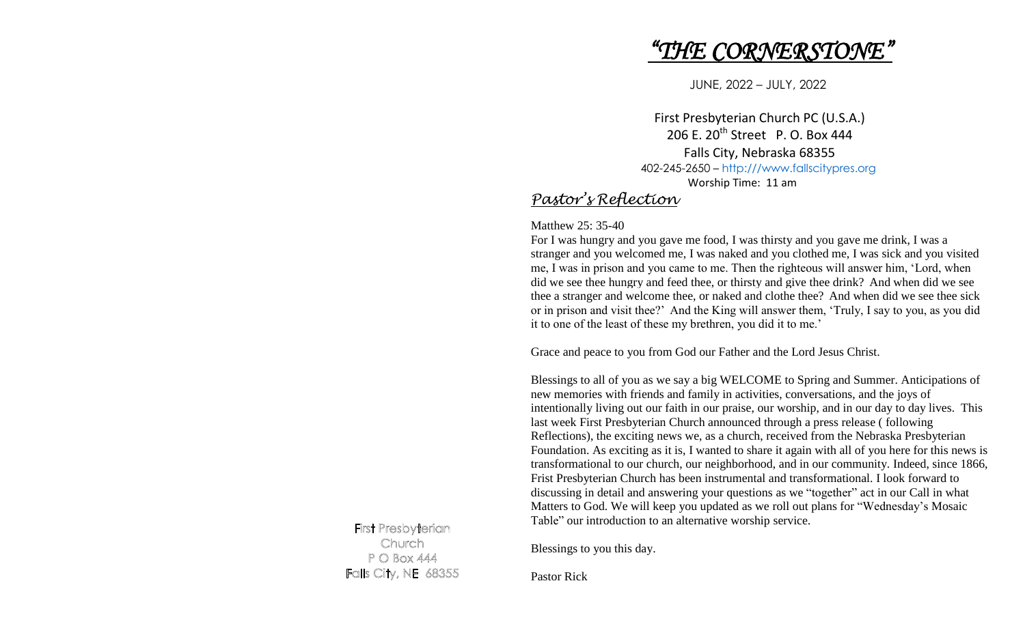# *"THE CORNERSTONE"*

JUNE, 2022 – JULY, 2022

First Presbyterian Church PC (U.S.A.) 206 E. 20<sup>th</sup> Street P. O. Box 444 Falls City, Nebraska 68355 402-245-2650 – [http:///www.fallscitypres.org](http://www.fallscitypres.org) Worship Time: 11 am

# *Pastor's Reflection*

Matthew 25: 35-40

For I was hungry and you gave me food, I was thirsty and you gave me drink, I was a stranger and you welcomed me, I was naked and you clothed me, I was sick and you visited me, I was in prison and you came to me. Then the righteous will answer him, 'Lord, when did we see thee hungry and feed thee, or thirsty and give thee drink? And when did we see thee a stranger and welcome thee, or naked and clothe thee? And when did we see thee sick or in prison and visit thee?' And the King will answer them, 'Truly, I say to you, as you did it to one of the least of these my brethren, you did it to me.'

Grace and peace to you from God our Father and the Lord Jesus Christ.

Blessings to all of you as we say a big WELCOME to Spring and Summer. Anticipations of new memories with friends and family in activities, conversations, and the joys of intentionally living out our faith in our praise, our worship, and in our day to day lives. This last week First Presbyterian Church announced through a press release ( following Reflections), the exciting news we, as a church, received from the Nebraska Presbyterian Foundation. As exciting as it is, I wanted to share it again with all of you here for this news is transformational to our church, our neighborhood, and in our community. Indeed, since 1866, Frist Presbyterian Church has been instrumental and transformational. I look forward to discussing in detail and answering your questions as we "together" act in our Call in what Matters to God. We will keep you updated as we roll out plans for "Wednesday's Mosaic Table" our introduction to an alternative worship service.

**First Presbyterian** Church PO Box 444 **Falls City, NE 68355** 

Blessings to you this day.

Pastor Rick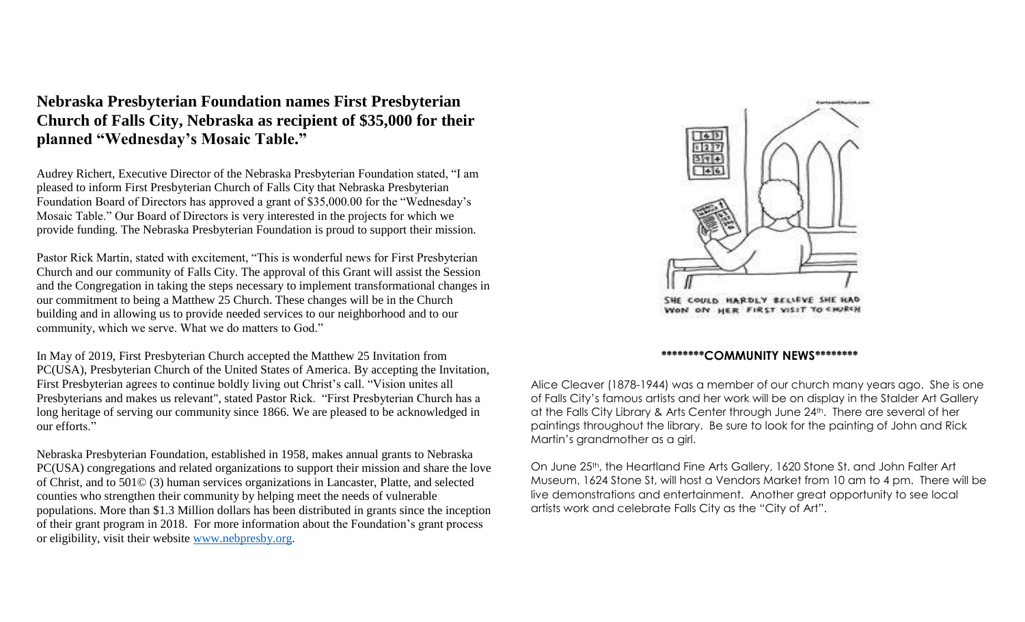**Nebraska Presbyterian Foundation names First Presbyterian Church of Falls City, Nebraska as recipient of \$35,000 for their planned "Wednesday's Mosaic Table."**

Audrey Richert, Executive Director of the Nebraska Presbyterian Foundation stated, "I am pleased to inform First Presbyterian Church of Falls City that Nebraska Presbyterian Foundation Board of Directors has approved a grant of \$35,000.00 for the "Wednesday's Mosaic Table." Our Board of Directors is very interested in the projects for which we provide funding. The Nebraska Presbyterian Foundation is proud to support their mission.

Pastor Rick Martin, stated with excitement, "This is wonderful news for First Presbyterian Church and our community of Falls City. The approval of this Grant will assist the Session and the Congregation in taking the steps necessary to implement transformational changes in our commitment to being a Matthew 25 Church. These changes will be in the Church building and in allowing us to provide needed services to our neighborhood and to our community, which we serve. What we do matters to God."

In May of 2019, First Presbyterian Church accepted the Matthew 25 Invitation from PC(USA), Presbyterian Church of the United States of America. By accepting the Invitation, First Presbyterian agrees to continue boldly living out Christ's call. "Vision unites all Presbyterians and makes us relevant", stated Pastor Rick. "First Presbyterian Church has a long heritage of serving our community since 1866. We are pleased to be acknowledged in our efforts."

Nebraska Presbyterian Foundation, established in 1958, makes annual grants to Nebraska PC(USA) congregations and related organizations to support their mission and share the love of Christ, and to 501© (3) human services organizations in Lancaster, Platte, and selected counties who strengthen their community by helping meet the needs of vulnerable populations. More than \$1.3 Million dollars has been distributed in grants since the inception of their grant program in 2018. For more information about the Foundation's grant process or eligibility, visit their website [www.nebpresby.org.](http://www.nebpresby.org/)



ON HER FIRST VISIT TO SHURCH

#### **\*\*\*\*\*\*\*\*COMMUNITY NEWS\*\*\*\*\*\*\*\***

Alice Cleaver (1878-1944) was a member of our church many years ago. She is one of Falls City's famous artists and her work will be on display in the Stalder Art Gallery at the Falls City Library & Arts Center through June 24<sup>th</sup>. There are several of her paintings throughout the library. Be sure to look for the painting of John and Rick Martin's grandmother as a girl.

On June 25th, the Heartland Fine Arts Gallery, 1620 Stone St. and John Falter Art Museum, 1624 Stone St, will host a Vendors Market from 10 am to 4 pm. There will be live demonstrations and entertainment. Another great opportunity to see local artists work and celebrate Falls City as the "City of Art".